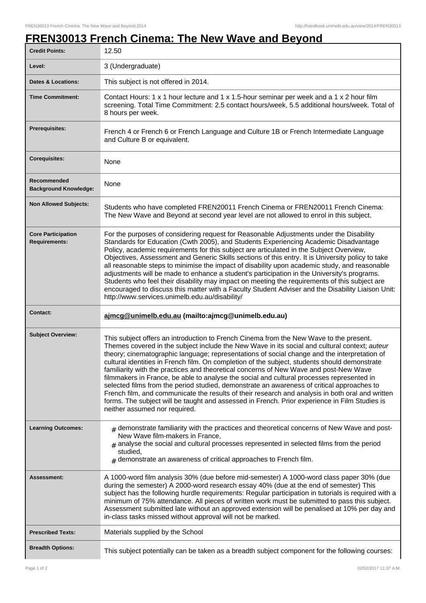## **FREN30013 French Cinema: The New Wave and Beyond**

| <b>Credit Points:</b>                             | 12.50                                                                                                                                                                                                                                                                                                                                                                                                                                                                                                                                                                                                                                                                                                                                                                                                                                                                                                              |
|---------------------------------------------------|--------------------------------------------------------------------------------------------------------------------------------------------------------------------------------------------------------------------------------------------------------------------------------------------------------------------------------------------------------------------------------------------------------------------------------------------------------------------------------------------------------------------------------------------------------------------------------------------------------------------------------------------------------------------------------------------------------------------------------------------------------------------------------------------------------------------------------------------------------------------------------------------------------------------|
| Level:                                            | 3 (Undergraduate)                                                                                                                                                                                                                                                                                                                                                                                                                                                                                                                                                                                                                                                                                                                                                                                                                                                                                                  |
| <b>Dates &amp; Locations:</b>                     | This subject is not offered in 2014.                                                                                                                                                                                                                                                                                                                                                                                                                                                                                                                                                                                                                                                                                                                                                                                                                                                                               |
| <b>Time Commitment:</b>                           | Contact Hours: 1 x 1 hour lecture and 1 x 1.5-hour seminar per week and a 1 x 2 hour film<br>screening. Total Time Commitment: 2.5 contact hours/week, 5.5 additional hours/week. Total of<br>8 hours per week.                                                                                                                                                                                                                                                                                                                                                                                                                                                                                                                                                                                                                                                                                                    |
| Prerequisites:                                    | French 4 or French 6 or French Language and Culture 1B or French Intermediate Language<br>and Culture B or equivalent.                                                                                                                                                                                                                                                                                                                                                                                                                                                                                                                                                                                                                                                                                                                                                                                             |
| <b>Corequisites:</b>                              | None                                                                                                                                                                                                                                                                                                                                                                                                                                                                                                                                                                                                                                                                                                                                                                                                                                                                                                               |
| Recommended<br><b>Background Knowledge:</b>       | None                                                                                                                                                                                                                                                                                                                                                                                                                                                                                                                                                                                                                                                                                                                                                                                                                                                                                                               |
| <b>Non Allowed Subjects:</b>                      | Students who have completed FREN20011 French Cinema or FREN20011 French Cinema:<br>The New Wave and Beyond at second year level are not allowed to enrol in this subject.                                                                                                                                                                                                                                                                                                                                                                                                                                                                                                                                                                                                                                                                                                                                          |
| <b>Core Participation</b><br><b>Requirements:</b> | For the purposes of considering request for Reasonable Adjustments under the Disability<br>Standards for Education (Cwth 2005), and Students Experiencing Academic Disadvantage<br>Policy, academic requirements for this subject are articulated in the Subject Overview,<br>Objectives, Assessment and Generic Skills sections of this entry. It is University policy to take<br>all reasonable steps to minimise the impact of disability upon academic study, and reasonable<br>adjustments will be made to enhance a student's participation in the University's programs.<br>Students who feel their disability may impact on meeting the requirements of this subject are<br>encouraged to discuss this matter with a Faculty Student Adviser and the Disability Liaison Unit:<br>http://www.services.unimelb.edu.au/disability/                                                                            |
|                                                   |                                                                                                                                                                                                                                                                                                                                                                                                                                                                                                                                                                                                                                                                                                                                                                                                                                                                                                                    |
| <b>Contact:</b>                                   | ajmcg@unimelb.edu.au (mailto:ajmcg@unimelb.edu.au)                                                                                                                                                                                                                                                                                                                                                                                                                                                                                                                                                                                                                                                                                                                                                                                                                                                                 |
| <b>Subject Overview:</b>                          | This subject offers an introduction to French Cinema from the New Wave to the present.<br>Themes covered in the subject include the New Wave in its social and cultural context; auteur<br>theory; cinematographic language; representations of social change and the interpretation of<br>cultural identities in French film. On completion of the subject, students should demonstrate<br>familiarity with the practices and theoretical concerns of New Wave and post-New Wave<br>filmmakers in France, be able to analyse the social and cultural processes represented in<br>selected films from the period studied, demonstrate an awareness of critical approaches to<br>French film, and communicate the results of their research and analysis in both oral and written<br>forms. The subject will be taught and assessed in French. Prior experience in Film Studies is<br>neither assumed nor required. |
| <b>Learning Outcomes:</b>                         | $#$ demonstrate familiarity with the practices and theoretical concerns of New Wave and post-<br>New Wave film-makers in France,<br>$*$ analyse the social and cultural processes represented in selected films from the period<br>studied,<br>$_{\#}$ demonstrate an awareness of critical approaches to French film.                                                                                                                                                                                                                                                                                                                                                                                                                                                                                                                                                                                             |
| Assessment:                                       | A 1000-word film analysis 30% (due before mid-semester) A 1000-word class paper 30% (due<br>during the semester) A 2000-word research essay 40% (due at the end of semester) This<br>subject has the following hurdle requirements: Regular participation in tutorials is required with a<br>minimum of 75% attendance. All pieces of written work must be submitted to pass this subject.<br>Assessment submitted late without an approved extension will be penalised at 10% per day and<br>in-class tasks missed without approval will not be marked.                                                                                                                                                                                                                                                                                                                                                           |
| <b>Prescribed Texts:</b>                          | Materials supplied by the School                                                                                                                                                                                                                                                                                                                                                                                                                                                                                                                                                                                                                                                                                                                                                                                                                                                                                   |